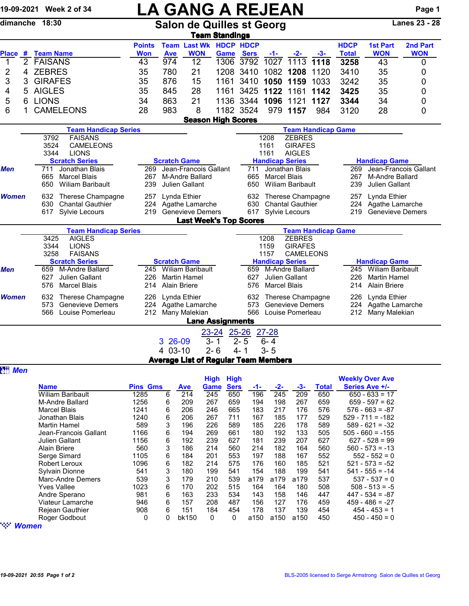|                |              | 19-09-2021 Week 2 of 34                              |                                                                 |                                                            | <b>LA GANG A REJEAN</b>                     |                         |                                |                        |                                        |                                   |                             |                               | Page 1                 |  |
|----------------|--------------|------------------------------------------------------|-----------------------------------------------------------------|------------------------------------------------------------|---------------------------------------------|-------------------------|--------------------------------|------------------------|----------------------------------------|-----------------------------------|-----------------------------|-------------------------------|------------------------|--|
|                |              | dimanche 18:30                                       | <b>Salon de Quilles st Georg</b>                                |                                                            |                                             |                         |                                |                        |                                        |                                   |                             | <b>Lanes 23 - 28</b>          |                        |  |
|                |              |                                                      |                                                                 |                                                            |                                             | <b>Team Standings</b>   |                                |                        |                                        |                                   |                             |                               |                        |  |
| Place #        |              | <b>Team Name</b>                                     | <b>Points</b><br><b>Won</b>                                     | <b>Ave</b>                                                 | <b>Team Last Wk HDCP HDCP</b><br><b>WON</b> |                         | <b>Game Sers</b>               | $-1-$                  | $-2-$                                  | -3-                               | <b>HDCP</b><br><b>Total</b> | <b>1st Part</b><br><b>WON</b> | 2nd Part<br><b>WON</b> |  |
| 1              | $\mathbf{2}$ | <b>FAISANS</b>                                       | 43                                                              | 974                                                        | 12                                          |                         | 1306 3792                      | 1027                   | 1113                                   | 1118                              | 3258                        | 43                            | 0                      |  |
| 2              | 4            | <b>ZEBRES</b>                                        | 35                                                              | 780                                                        | 21                                          |                         | 1208 3410                      |                        | 1082 1208                              | 1120                              | 3410                        | 35                            | 0                      |  |
| 3              | 3            | <b>GIRAFES</b>                                       | 35                                                              | 876                                                        | 15                                          | 1161                    |                                | 3410 1050 1159         |                                        | 1033                              | 3242                        | 35                            | 0                      |  |
| 4              | 5            | <b>AIGLES</b>                                        | 35                                                              | 845                                                        | 28                                          | 1161                    | 3425 1122                      |                        | 1161                                   | 1142                              | 3425                        | 35                            | 0                      |  |
| 5              | 6            | <b>LIONS</b>                                         | 34                                                              | 863                                                        | 21                                          |                         | 1136 3344                      |                        | 1096 1121                              | 1127                              | 3344                        | 34                            | 0                      |  |
| 6              |              | <b>CAMELEONS</b>                                     | 28                                                              | 983                                                        | 8                                           |                         | 1182 3524                      |                        | 979 1157                               | 984                               | 3120                        | 28                            | 0                      |  |
|                |              |                                                      |                                                                 |                                                            | <b>Season High Scores</b>                   |                         |                                |                        |                                        |                                   |                             |                               |                        |  |
|                |              | <b>Team Handicap Series</b>                          |                                                                 |                                                            |                                             |                         |                                |                        |                                        | <b>Team Handicap Game</b>         |                             |                               |                        |  |
|                |              | <b>FAISANS</b><br>3792                               |                                                                 |                                                            |                                             |                         |                                | 1208                   | <b>ZEBRES</b>                          |                                   |                             |                               |                        |  |
|                |              | 3524<br>CAMELEONS<br>3344<br><b>LIONS</b>            |                                                                 |                                                            |                                             |                         |                                | 1161<br>1161           | <b>GIRAFES</b><br><b>AIGLES</b>        |                                   |                             |                               |                        |  |
|                |              | <b>Scratch Series</b>                                |                                                                 | <b>Scratch Game</b>                                        |                                             |                         |                                | <b>Handicap Series</b> |                                        |                                   |                             | <b>Handicap Game</b>          |                        |  |
| Men            |              | Jonathan Blais<br>711                                | 269                                                             |                                                            | Jean-Francois Gallant                       |                         | 711                            |                        | Jonathan Blais                         |                                   | 269                         | Jean-Francois Gallant         |                        |  |
|                |              | <b>Marcel Blais</b><br>665                           | 267                                                             | M-Andre Ballard                                            | 665                                         | <b>Marcel Blais</b>     | <b>Wiliam Baribault</b>        |                        | 267                                    | M-Andre Ballard<br>Julien Gallant |                             |                               |                        |  |
|                |              | 650<br><b>Wiliam Baribault</b>                       | 239                                                             | Lynda Ethier                                               | Julien Gallant                              |                         | 650                            |                        |                                        |                                   | 239                         |                               |                        |  |
| <b>Women</b>   |              | Therese Champagne<br>632                             | 257                                                             | Therese Champagne<br>632<br>630<br><b>Chantal Gauthier</b> |                                             |                         |                                | 257                    | Lynda Ethier<br>224<br>Agathe Lamarche |                                   |                             |                               |                        |  |
|                |              | 630<br><b>Chantal Gauthier</b><br>617 Sylvie Lecours | 224<br>219                                                      | Agathe Lamarche<br><b>Genevieve Demers</b>                 |                                             |                         | 617 Sylvie Lecours             |                        | 219                                    | <b>Genevieve Demers</b>           |                             |                               |                        |  |
|                |              |                                                      |                                                                 |                                                            | <b>Last Week's Top Scores</b>               |                         |                                |                        |                                        |                                   |                             |                               |                        |  |
|                |              | <b>Team Handicap Series</b>                          |                                                                 |                                                            |                                             |                         |                                |                        |                                        | <b>Team Handicap Game</b>         |                             |                               |                        |  |
|                |              | 3425<br><b>AIGLES</b>                                |                                                                 |                                                            |                                             |                         |                                | 1208                   | <b>ZEBRES</b>                          |                                   |                             |                               |                        |  |
|                |              | 3344<br><b>LIONS</b><br><b>FAISANS</b>               |                                                                 |                                                            |                                             |                         |                                | 1159<br>1157           | <b>GIRAFES</b><br><b>CAMELEONS</b>     |                                   |                             |                               |                        |  |
|                |              | 3258<br><b>Scratch Series</b>                        |                                                                 | <b>Scratch Game</b>                                        |                                             |                         |                                | <b>Handicap Series</b> |                                        |                                   |                             | <b>Handicap Game</b>          |                        |  |
| Men            |              | M-Andre Ballard<br>659                               | 245                                                             |                                                            | <b>Wiliam Baribault</b>                     |                         | 659                            |                        | M-Andre Ballard                        |                                   | 245                         | <b>Wiliam Baribault</b>       |                        |  |
|                |              | 627<br>Julien Gallant                                | 226                                                             |                                                            | <b>Martin Hamel</b>                         |                         | 627                            |                        | Julien Gallant                         |                                   | 226                         | <b>Martin Hamel</b>           |                        |  |
|                |              | <b>Marcel Blais</b><br>576                           | <b>Alain Briere</b><br><b>Marcel Blais</b><br>214<br>214<br>576 |                                                            |                                             |                         |                                |                        |                                        | <b>Alain Briere</b>               |                             |                               |                        |  |
| <b>Women</b>   |              | 632<br>Therese Champagne                             | 226                                                             | Lynda Ethier                                               |                                             |                         | 632                            |                        | Therese Champagne                      |                                   | 226                         | Lynda Ethier                  |                        |  |
|                |              | 573<br><b>Genevieve Demers</b>                       |                                                                 |                                                            | 224 Agathe Lamarche                         |                         | 573<br><b>Genevieve Demers</b> |                        |                                        |                                   |                             | 224 Agathe Lamarche           |                        |  |
|                |              | 566<br>Louise Pomerleau                              |                                                                 |                                                            | 212 Many Malekian                           |                         | 566                            |                        | Louise Pomerleau                       |                                   |                             | 212 Many Malekian             |                        |  |
|                |              |                                                      |                                                                 |                                                            |                                             | <b>Lane Assignments</b> |                                |                        |                                        |                                   |                             |                               |                        |  |
|                |              |                                                      |                                                                 | 3 26-09                                                    |                                             | 23-24 25-26<br>$3 - 1$  | $2 - 5$                        | $27 - 28$<br>$6 - 4$   |                                        |                                   |                             |                               |                        |  |
|                |              |                                                      |                                                                 | 4 03-10                                                    |                                             | $2 - 6$                 | $4 - 1$                        | $3 - 5$                |                                        |                                   |                             |                               |                        |  |
|                |              |                                                      |                                                                 |                                                            | <b>Average List of Regular Team Members</b> |                         |                                |                        |                                        |                                   |                             |                               |                        |  |
| <b>att Men</b> |              |                                                      |                                                                 |                                                            |                                             |                         |                                |                        |                                        |                                   |                             |                               |                        |  |
|                |              |                                                      |                                                                 |                                                            |                                             | <b>High High</b>        |                                |                        |                                        |                                   |                             | <b>Weekly Over Ave</b>        |                        |  |
|                |              | <b>Name</b>                                          | <b>Pins Gms</b>                                                 |                                                            | <b>Ave</b>                                  | Game Sers               | -1-                            | -2-                    | -3-                                    | <b>Total</b>                      |                             | Series Ave +/-                |                        |  |
|                |              | <b>Wiliam Baribault</b>                              | 1285                                                            | 6                                                          | $\overline{214}$                            | 245<br>650              | 196                            | 245                    | 209                                    | 650                               |                             | $650 - 633 = 17$              |                        |  |

| <b>Name</b>             | <b>Pins Gms</b> |   | <b>Ave</b> | Game | <b>Sers</b> | -1-  | $-2-$ | -3-  | <b>Total</b> | Series Ave +/-     |
|-------------------------|-----------------|---|------------|------|-------------|------|-------|------|--------------|--------------------|
| <b>Wiliam Baribault</b> | 1285            | 6 | 214        | 245  | 650         | 196  | 245   | 209  | 650          | $650 - 633 = 17$   |
| M-Andre Ballard         | 1256            | 6 | 209        | 267  | 659         | 194  | 198   | 267  | 659          | $659 - 597 = 62$   |
| <b>Marcel Blais</b>     | 1241            | 6 | 206        | 246  | 665         | 183  | 217   | 176  | 576          | $576 - 663 = -87$  |
| Jonathan Blais          | 1240            | 6 | 206        | 267  | 711         | 167  | 185   | 177  | 529          | $529 - 711 = -182$ |
| <b>Martin Hamel</b>     | 589             | 3 | 196        | 226  | 589         | 185  | 226   | 178  | 589          | $589 - 621 = -32$  |
| Jean-Francois Gallant   | 1166            | 6 | 194        | 269  | 661         | 180  | 192   | 133  | 505          | $505 - 660 = -155$ |
| Julien Gallant          | 1156            | 6 | 192        | 239  | 627         | 181  | 239   | 207  | 627          | $627 - 528 = 99$   |
| Alain Briere            | 560             | 3 | 186        | 214  | 560         | 214  | 182   | 164  | 560          | $560 - 573 = -13$  |
| Serge Simard            | 1105            | 6 | 184        | 201  | 553         | 197  | 188   | 167  | 552          | $552 - 552 = 0$    |
| <b>Robert Leroux</b>    | 1096            | 6 | 182        | 214  | 575         | 176  | 160   | 185  | 521          | $521 - 573 = -52$  |
| Sylvain Dionne          | 541             | 3 | 180        | 199  | 541         | 154  | 188   | 199  | 541          | $541 - 555 = -14$  |
| Marc-Andre Demers       | 539             | 3 | 179        | 210  | 539         | a179 | a179  | a179 | 537          | $537 - 537 = 0$    |
| <b>Yves Vallee</b>      | 1023            | 6 | 170        | 202  | 515         | 164  | 164   | 180  | 508          | $508 - 513 = -5$   |
| Andre Sperano           | 981             | 6 | 163        | 233  | 534         | 143  | 158   | 146  | 447          | $447 - 534 = -87$  |
| Viateur Lamarche        | 946             | 6 | 157        | 208  | 487         | 156  | 127   | 176  | 459          | $459 - 486 = -27$  |
| <b>Rejean Gauthier</b>  | 908             | 6 | 151        | 184  | 454         | 178  | 137   | 139  | 454          | $454 - 453 = 1$    |
| Roger Godbout           | 0               | 0 | bk150      | 0    | 0           | a150 | a150  | a150 | 450          | $450 - 450 = 0$    |
|                         |                 |   |            |      |             |      |       |      |              |                    |

" *Women*